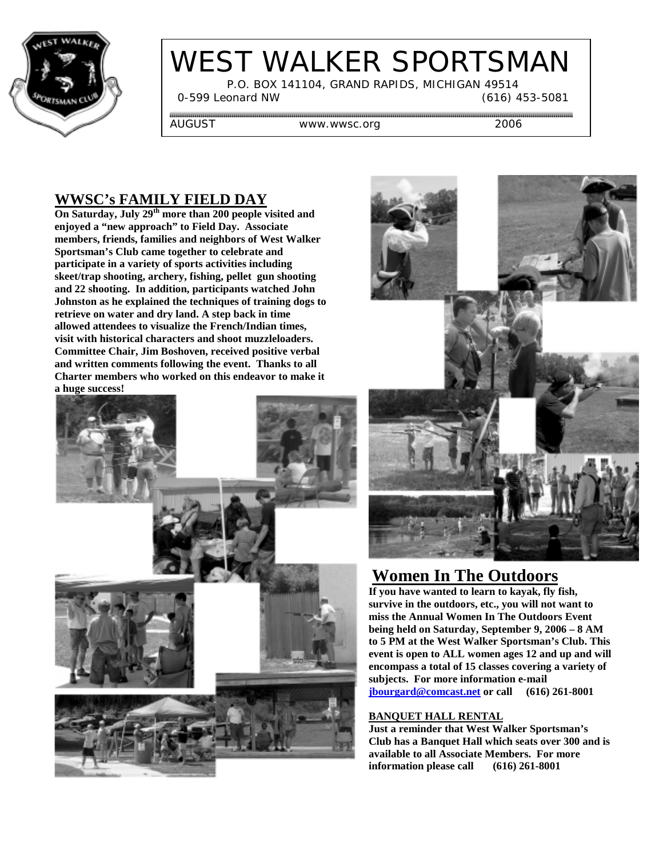

# WEST WALKER SPORTSMAN

 P.O. BOX 141104, GRAND RAPIDS, MICHIGAN 49514 0-599 Leonard NW (616) 453-5081

AUGUST WWW.wwsc.org 2006

#### **WWSC's FAMILY FIELD DAY**

**On Saturday, July 29th more than 200 people visited and enjoyed a "new approach" to Field Day. Associate members, friends, families and neighbors of West Walker Sportsman's Club came together to celebrate and participate in a variety of sports activities including skeet/trap shooting, archery, fishing, pellet gun shooting and 22 shooting. In addition, participants watched John Johnston as he explained the techniques of training dogs to retrieve on water and dry land. A step back in time allowed attendees to visualize the French/Indian times, visit with historical characters and shoot muzzleloaders. Committee Chair, Jim Boshoven, received positive verbal and written comments following the event. Thanks to all Charter members who worked on this endeavor to make it a huge success!**





## **Women In The Outdoors**

**If you have wanted to learn to kayak, fly fish, survive in the outdoors, etc., you will not want to miss the Annual Women In The Outdoors Event being held on Saturday, September 9, 2006 – 8 AM to 5 PM at the West Walker Sportsman's Club. This event is open to ALL women ages 12 and up and will encompass a total of 15 classes covering a variety of subjects. For more information e-mail jbourgard@comcast.net or call (616) 261-8001**

#### **BANQUET HALL RENTAL**

**Just a reminder that West Walker Sportsman's Club has a Banquet Hall which seats over 300 and is available to all Associate Members. For more information please call (616) 261-8001**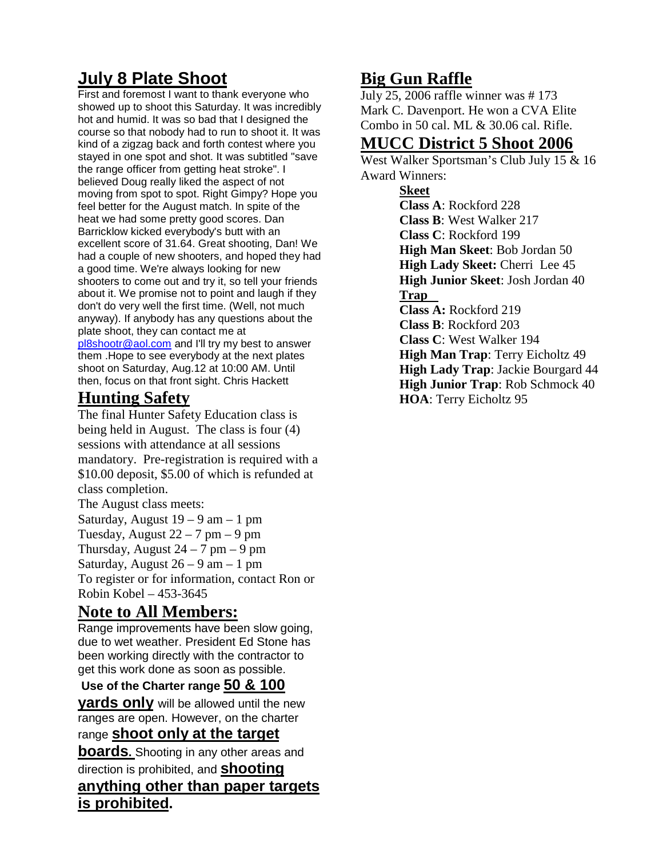# **July 8 Plate Shoot**

First and foremost I want to thank everyone who showed up to shoot this Saturday. It was incredibly hot and humid. It was so bad that I designed the course so that nobody had to run to shoot it. It was kind of a zigzag back and forth contest where you stayed in one spot and shot. It was subtitled "save the range officer from getting heat stroke". I believed Doug really liked the aspect of not moving from spot to spot. Right Gimpy? Hope you feel better for the August match. In spite of the heat we had some pretty good scores. Dan Barricklow kicked everybody's butt with an excellent score of 31.64. Great shooting, Dan! We had a couple of new shooters, and hoped they had a good time. We're always looking for new shooters to come out and try it, so tell your friends about it. We promise not to point and laugh if they don't do very well the first time. (Well, not much anyway). If anybody has any questions about the plate shoot, they can contact me at pl8shootr@aol.com and I'll try my best to answer them .Hope to see everybody at the next plates shoot on Saturday, Aug.12 at 10:00 AM. Until then, focus on that front sight. Chris Hackett

# **Hunting Safety**

The final Hunter Safety Education class is being held in August. The class is four (4) sessions with attendance at all sessions mandatory. Pre-registration is required with a \$10.00 deposit, \$5.00 of which is refunded at class completion.

The August class meets:

Saturday, August  $19 - 9$  am  $-1$  pm Tuesday, August  $22 - 7$  pm  $-9$  pm Thursday, August  $24 - 7$  pm  $-9$  pm Saturday, August  $26 - 9$  am  $-1$  pm To register or for information, contact Ron or Robin Kobel – 453-3645

## **Note to All Members:**

**is prohibited.**

Range improvements have been slow going. due to wet weather. President Ed Stone has been working directly with the contractor to get this work done as soon as possible.

#### **Use of the Charter range 50 & 100**

**yards only** will be allowed until the new ranges are open. However, on the charter range **shoot only at the target**

**boards.** Shooting in any other areas and direction is prohibited, and **shooting anything other than paper targets**

**Big Gun Raffle** July 25, 2006 raffle winner was # 173 Mark C. Davenport. He won a CVA Elite Combo in 50 cal. ML & 30.06 cal. Rifle.

#### **MUCC District 5 Shoot 2006**

West Walker Sportsman's Club July 15 & 16 Award Winners:

**Skeet Class A**: Rockford 228 **Class B**: West Walker 217 **Class C**: Rockford 199 **High Man Skeet**: Bob Jordan 50 **High Lady Skeet:** Cherri Lee 45 **High Junior Skeet**: Josh Jordan 40 **Trap Class A:** Rockford 219 **Class B**: Rockford 203 **Class C**: West Walker 194 **High Man Trap**: Terry Eicholtz 49 **High Lady Trap**: Jackie Bourgard 44 **High Junior Trap**: Rob Schmock 40 **HOA**: Terry Eicholtz 95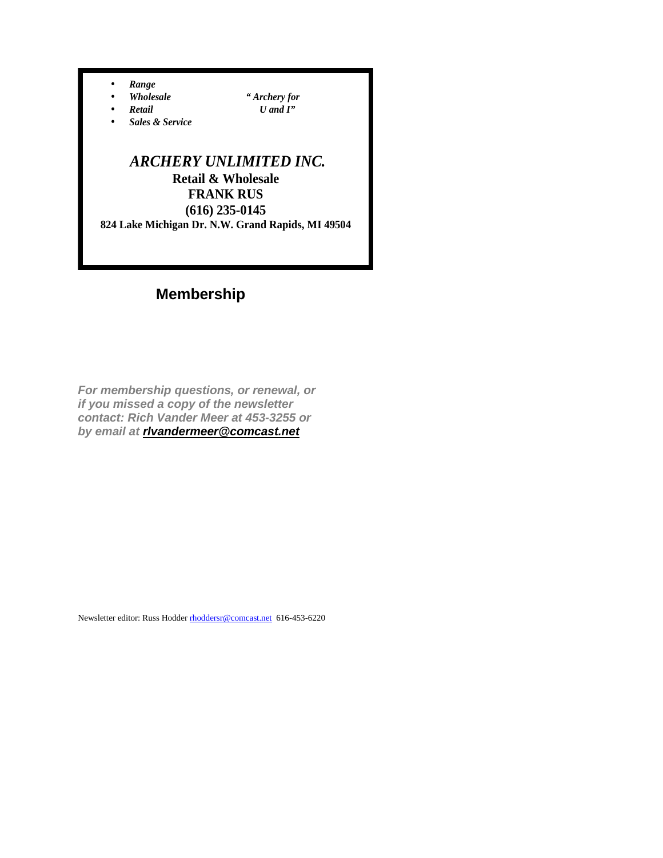• *Range* 

- *Wholesale " Archery for*
- *Retail U and I"*
- *Sales & Service*

#### *ARCHERY UNLIMITED INC.*  **Retail & Wholesale FRANK RUS (616) 235-0145 824 Lake Michigan Dr. N.W. Grand Rapids, MI 49504**

# **Membership**

*For membership questions, or renewal, or if you missed a copy of the newsletter contact: Rich Vander Meer at 453-3255 or by email at rlvandermeer@comcast.net*

Newsletter editor: Russ Hodder rhoddersr@comcast.net 616-453-6220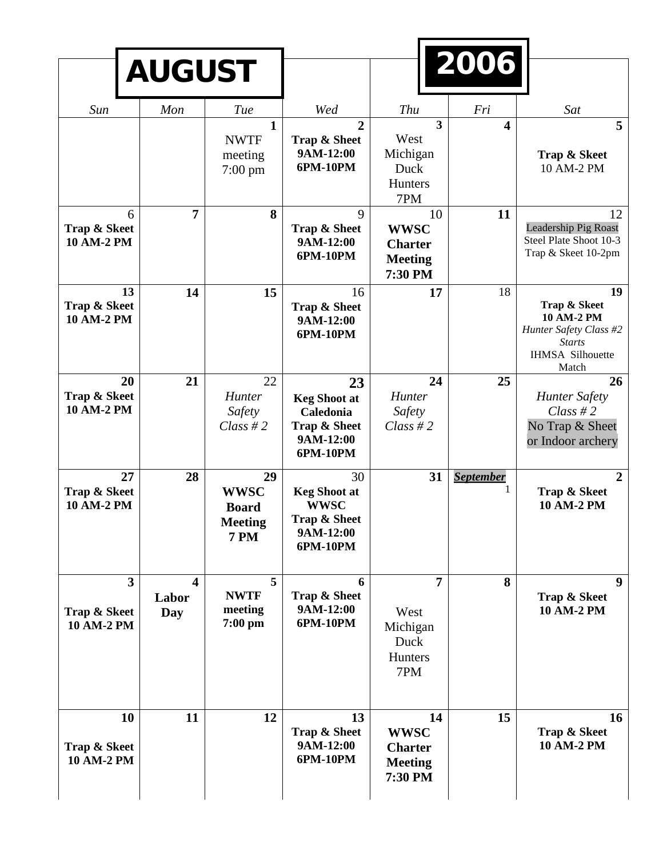|                                   | <b>AUGUST</b>                                             |                                                                    |                                                                                   | 2006                                                             |                  |                                                                                                                 |
|-----------------------------------|-----------------------------------------------------------|--------------------------------------------------------------------|-----------------------------------------------------------------------------------|------------------------------------------------------------------|------------------|-----------------------------------------------------------------------------------------------------------------|
| Sun                               | Mon                                                       | Tue<br>$\mathbf{1}$<br><b>NWTF</b>                                 | Wed<br>$\overline{2}$<br>Trap & Sheet                                             | <b>Thu</b><br>$\overline{3}$<br>West                             | Fri<br>4         | Sat<br>5                                                                                                        |
|                                   |                                                           | meeting<br>$7:00 \text{ pm}$                                       | 9AM-12:00<br>6PM-10PM                                                             | Michigan<br>Duck<br>Hunters<br>7PM                               |                  | Trap & Skeet<br>10 AM-2 PM                                                                                      |
| Trap & Skeet<br><b>10 AM-2 PM</b> | $\overline{7}$<br>6                                       | 8                                                                  | 9<br>Trap & Sheet<br>9AM-12:00<br>6PM-10PM                                        | 10<br><b>WWSC</b><br><b>Charter</b><br><b>Meeting</b><br>7:30 PM | 11               | 12<br>Leadership Pig Roast<br>Steel Plate Shoot 10-3<br>Trap & Skeet 10-2pm                                     |
| Trap & Skeet<br><b>10 AM-2 PM</b> | 13<br>14                                                  | 15                                                                 | 16<br>Trap & Sheet<br>9AM-12:00<br>6PM-10PM                                       | 17                                                               | 18               | 19<br>Trap & Skeet<br>10 AM-2 PM<br>Hunter Safety Class #2<br><b>Starts</b><br><b>IHMSA Silhouette</b><br>Match |
| Trap & Skeet<br><b>10 AM-2 PM</b> | 21<br>20                                                  | 22<br>Hunter<br>Safety<br>Class #2                                 | 23<br><b>Keg Shoot at</b><br>Caledonia<br>Trap & Sheet<br>9AM-12:00<br>6PM-10PM   | 24<br>Hunter<br>Safety<br>$Class \# 2$                           | 25               | 26<br><b>Hunter Safety</b><br>$Class \# 2$<br>No Trap & Sheet<br>or Indoor archery                              |
| Trap & Skeet<br><b>10 AM-2 PM</b> | 28<br>27                                                  | 29<br><b>WWSC</b><br><b>Board</b><br><b>Meeting</b><br><b>7 PM</b> | 30<br><b>Keg Shoot at</b><br><b>WWSC</b><br>Trap & Sheet<br>9AM-12:00<br>6PM-10PM | 31                                                               | <b>September</b> | $\overline{2}$<br>Trap & Skeet<br><b>10 AM-2 PM</b>                                                             |
| Trap & Skeet<br>10 AM-2 PM        | $\overline{3}$<br>$\overline{\mathbf{4}}$<br>Labor<br>Day | 5<br><b>NWTF</b><br>meeting<br>$7:00$ pm                           | 6<br>Trap & Sheet<br>9AM-12:00<br>6PM-10PM                                        | $\overline{7}$<br>West<br>Michigan<br>Duck<br>Hunters<br>7PM     | 8                | 9<br>Trap & Skeet<br>10 AM-2 PM                                                                                 |
| Trap & Skeet<br>10 AM-2 PM        | 11<br>10                                                  | 12                                                                 | 13<br>Trap & Sheet<br>9AM-12:00<br>6PM-10PM                                       | 14<br><b>WWSC</b><br><b>Charter</b><br><b>Meeting</b><br>7:30 PM | 15               | 16<br>Trap & Skeet<br>10 AM-2 PM                                                                                |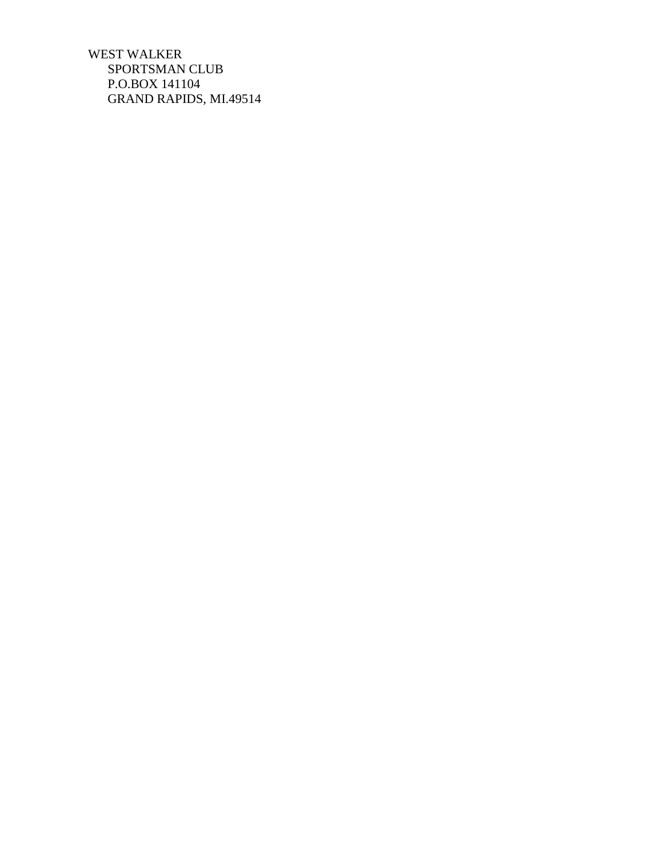WEST WALKER SPORTSMAN CLUB P.O.BOX 141104 GRAND RAPIDS, MI.49514